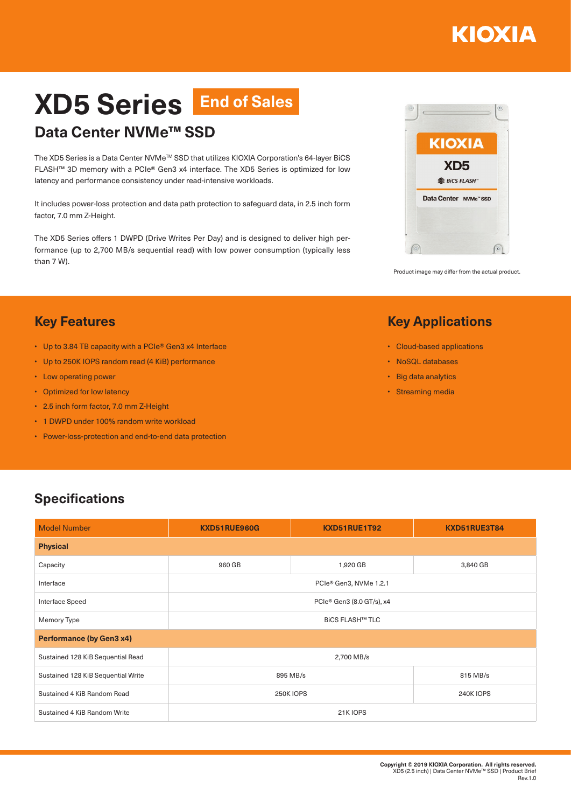## ΚΙΟΧΙΑ

# **XD5 Series End of Sales**

### **Data Center NVMe™ SSD**

The XD5 Series is a Data Center NVMe™ SSD that utilizes KIOXIA Corporation's 64-layer BiCS FLASH™ 3D memory with a PCIe® Gen3 x4 interface. The XD5 Series is optimized for low latency and performance consistency under read-intensive workloads.

It includes power-loss protection and data path protection to safeguard data, in 2.5 inch form factor, 7.0 mm Z-Height.

The XD5 Series offers 1 DWPD (Drive Writes Per Day) and is designed to deliver high performance (up to 2,700 MB/s sequential read) with low power consumption (typically less than 7 W).



Product image may differ from the actual product.

#### **Key Applications**

- Cloud-based applications
- NoSQL databases
- Big data analytics
- Streaming media

#### **Key Features**

- Up to 3.84 TB capacity with a PCIe® Gen3 x4 Interface
- Up to 250K IOPS random read (4 KiB) performance
- Low operating power
- Optimized for low latency
- 2.5 inch form factor, 7.0 mm Z-Height
- 1 DWPD under 100% random write workload
- Power-loss-protection and end-to-end data protection

#### **Specifications**

| <b>Model Number</b>                | KXD51RUE960G              | KXD51RUE1T92 | KXD51RUE3T84     |  |
|------------------------------------|---------------------------|--------------|------------------|--|
| <b>Physical</b>                    |                           |              |                  |  |
| Capacity                           | 960 GB                    | 1,920 GB     | 3,840 GB         |  |
| Interface                          | PCIe® Gen3, NVMe 1.2.1    |              |                  |  |
| Interface Speed                    | PCIe® Gen3 (8.0 GT/s), x4 |              |                  |  |
| Memory Type                        | <b>BICS FLASH™ TLC</b>    |              |                  |  |
| <b>Performance (by Gen3 x4)</b>    |                           |              |                  |  |
| Sustained 128 KiB Sequential Read  | 2,700 MB/s                |              |                  |  |
| Sustained 128 KiB Sequential Write | 895 MB/s                  |              | 815 MB/s         |  |
| Sustained 4 KiB Random Read        | <b>250K IOPS</b>          |              | <b>240K IOPS</b> |  |
| Sustained 4 KiB Random Write       | 21K IOPS                  |              |                  |  |